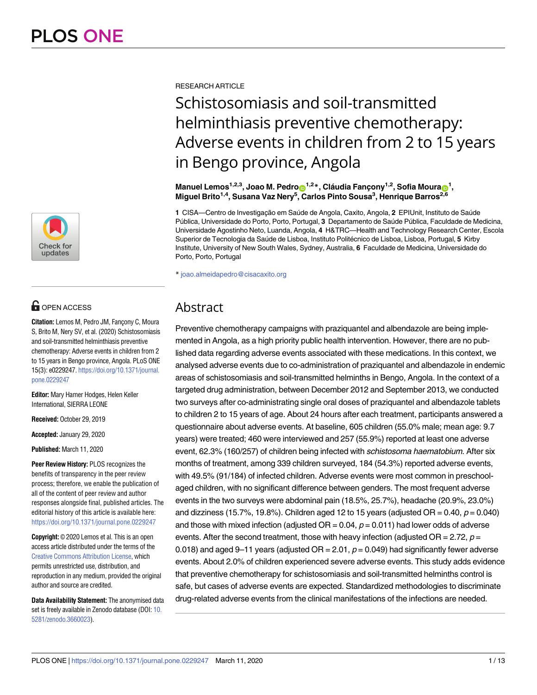

# **OPEN ACCESS**

**Citation:** Lemos M, Pedro JM, Fancony C, Moura S, Brito M, Nery SV, et al. (2020) Schistosomiasis and soil-transmitted helminthiasis preventive chemotherapy: Adverse events in children from 2 to 15 years in Bengo province, Angola. PLoS ONE 15(3): e0229247. [https://doi.org/10.1371/journal.](https://doi.org/10.1371/journal.pone.0229247) [pone.0229247](https://doi.org/10.1371/journal.pone.0229247)

**Editor:** Mary Hamer Hodges, Helen Keller International, SIERRA LEONE

**Received:** October 29, 2019

**Accepted:** January 29, 2020

**Published:** March 11, 2020

**Peer Review History:** PLOS recognizes the benefits of transparency in the peer review process; therefore, we enable the publication of all of the content of peer review and author responses alongside final, published articles. The editorial history of this article is available here: <https://doi.org/10.1371/journal.pone.0229247>

**Copyright:** © 2020 Lemos et al. This is an open access article distributed under the terms of the Creative Commons [Attribution](http://creativecommons.org/licenses/by/4.0/) License, which permits unrestricted use, distribution, and reproduction in any medium, provided the original author and source are credited.

**Data Availability Statement:** The anonymised data set is freely available in Zenodo database (DOI: [10.](https://doi.org/10.5281/zenodo.3660023) [5281/zenodo.3660023\)](https://doi.org/10.5281/zenodo.3660023).

RESEARCH ARTICLE

# Schistosomiasis and soil-transmitted helminthiasis preventive chemotherapy: Adverse events in children from 2 to 15 years in Bengo province, Angola

 $\blacksquare$ Manuel Lemos $^{1,2,3}$ , Joao M. Pedro $\blacksquare^{1,2}$ \*, Cláudia Fançony $^{1,2}$ , Sofia Moura $\blacksquare^1,$ **Miguel Brito1,4, Susana Vaz Nery5 , Carlos Pinto Sousa3 , Henrique Barros2,6**

1 CISA—Centro de Investigação em Saúde de Angola, Caxito, Angola, 2 EPIUnit, Instituto de Saúde Pública, Universidade do Porto, Porto, Portugal, 3 Departamento de Saúde Pública, Faculdade de Medicina, Universidade Agostinho Neto, Luanda, Angola, **4** H&TRC—Health and Technology Research Center, Escola Superior de Tecnologia da Saúde de Lisboa, Instituto Politécnico de Lisboa, Lisboa, Portugal, 5 Kirby Institute, University of New South Wales, Sydney, Australia, **6** Faculdade de Medicina, Universidade do Porto, Porto, Portugal

\* joao.almeidapedro@cisacaxito.org

# Abstract

Preventive chemotherapy campaigns with praziquantel and albendazole are being implemented in Angola, as a high priority public health intervention. However, there are no published data regarding adverse events associated with these medications. In this context, we analysed adverse events due to co-administration of praziquantel and albendazole in endemic areas of schistosomiasis and soil-transmitted helminths in Bengo, Angola. In the context of a targeted drug administration, between December 2012 and September 2013, we conducted two surveys after co-administrating single oral doses of praziquantel and albendazole tablets to children 2 to 15 years of age. About 24 hours after each treatment, participants answered a questionnaire about adverse events. At baseline, 605 children (55.0% male; mean age: 9.7 years) were treated; 460 were interviewed and 257 (55.9%) reported at least one adverse event, 62.3% (160/257) of children being infected with schistosoma haematobium. After six months of treatment, among 339 children surveyed, 184 (54.3%) reported adverse events, with 49.5% (91/184) of infected children. Adverse events were most common in preschoolaged children, with no significant difference between genders. The most frequent adverse events in the two surveys were abdominal pain (18.5%, 25.7%), headache (20.9%, 23.0%) and dizziness (15.7%, 19.8%). Children aged 12 to 15 years (adjusted OR = 0.40,  $p = 0.040$ ) and those with mixed infection (adjusted  $OR = 0.04$ ,  $p = 0.011$ ) had lower odds of adverse events. After the second treatment, those with heavy infection (adjusted  $OR = 2.72$ ,  $p =$ 0.018) and aged 9–11 years (adjusted  $OR = 2.01$ ,  $p = 0.049$ ) had significantly fewer adverse events. About 2.0% of children experienced severe adverse events. This study adds evidence that preventive chemotherapy for schistosomiasis and soil-transmitted helminths control is safe, but cases of adverse events are expected. Standardized methodologies to discriminate drug-related adverse events from the clinical manifestations of the infections are needed.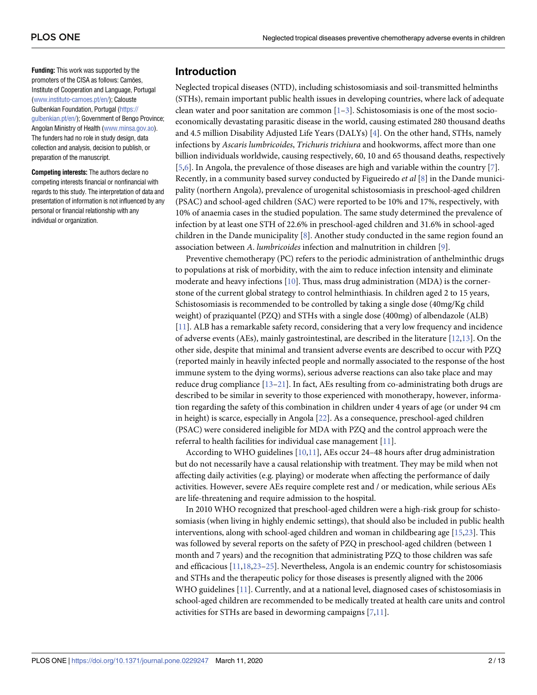<span id="page-1-0"></span>**Funding:** This work was supported by the promoters of the CISA as follows: Camões, Institute of Cooperation and Language, Portugal [\(www.instituto-camoes.pt/en/](http://www.instituto-camoes.pt/en/)); Calouste Gulbenkian Foundation, Portugal ([https://](https://gulbenkian.pt/en/) [gulbenkian.pt/en/](https://gulbenkian.pt/en/)); Government of Bengo Province; Angolan Ministry of Health ([www.minsa.gov.ao\)](http://www.minsa.gov.ao). The funders had no role in study design, data collection and analysis, decision to publish, or preparation of the manuscript.

**Competing interests:** The authors declare no competing interests financial or nonfinancial with regards to this study. The interpretation of data and presentation of information is not influenced by any personal or financial relationship with any individual or organization.

# **Introduction**

Neglected tropical diseases (NTD), including schistosomiasis and soil-transmitted helminths (STHs), remain important public health issues in developing countries, where lack of adequate clean water and poor sanitation are common  $[1-3]$ . Schistosomiasis is one of the most socioeconomically devastating parasitic disease in the world, causing estimated 280 thousand deaths and 4.5 million Disability Adjusted Life Years (DALYs) [\[4\]](#page-9-0). On the other hand, STHs, namely infections by *Ascaris lumbricoides*, *Trichuris trichiura* and hookworms, affect more than one billion individuals worldwide, causing respectively, 60, 10 and 65 thousand deaths, respectively [\[5](#page-9-0)[,6](#page-10-0)]. In Angola, the prevalence of those diseases are high and variable within the country [\[7](#page-10-0)]. Recently, in a community based survey conducted by Figueiredo *et al* [[8\]](#page-10-0) in the Dande municipality (northern Angola), prevalence of urogenital schistosomiasis in preschool-aged children (PSAC) and school-aged children (SAC) were reported to be 10% and 17%, respectively, with 10% of anaemia cases in the studied population. The same study determined the prevalence of infection by at least one STH of 22.6% in preschool-aged children and 31.6% in school-aged children in the Dande municipality [[8\]](#page-10-0). Another study conducted in the same region found an association between *A*. *lumbricoides* infection and malnutrition in children [\[9\]](#page-10-0).

Preventive chemotherapy (PC) refers to the periodic administration of anthelminthic drugs to populations at risk of morbidity, with the aim to reduce infection intensity and eliminate moderate and heavy infections [[10](#page-10-0)]. Thus, mass drug administration (MDA) is the cornerstone of the current global strategy to control helminthiasis. In children aged 2 to 15 years, Schistosomiasis is recommended to be controlled by taking a single dose (40mg/Kg child weight) of praziquantel (PZQ) and STHs with a single dose (400mg) of albendazole (ALB) [\[11\]](#page-10-0). ALB has a remarkable safety record, considering that a very low frequency and incidence of adverse events (AEs), mainly gastrointestinal, are described in the literature [[12](#page-10-0),[13](#page-10-0)]. On the other side, despite that minimal and transient adverse events are described to occur with PZQ (reported mainly in heavily infected people and normally associated to the response of the host immune system to the dying worms), serious adverse reactions can also take place and may reduce drug compliance [\[13–21](#page-10-0)]. In fact, AEs resulting from co-administrating both drugs are described to be similar in severity to those experienced with monotherapy, however, information regarding the safety of this combination in children under 4 years of age (or under 94 cm in height) is scarce, especially in Angola [\[22\]](#page-10-0). As a consequence, preschool-aged children (PSAC) were considered ineligible for MDA with PZQ and the control approach were the referral to health facilities for individual case management [[11](#page-10-0)].

According to WHO guidelines [[10](#page-10-0),[11](#page-10-0)], AEs occur 24–48 hours after drug administration but do not necessarily have a causal relationship with treatment. They may be mild when not affecting daily activities (e.g. playing) or moderate when affecting the performance of daily activities. However, severe AEs require complete rest and / or medication, while serious AEs are life-threatening and require admission to the hospital.

In 2010 WHO recognized that preschool-aged children were a high-risk group for schistosomiasis (when living in highly endemic settings), that should also be included in public health interventions, along with school-aged children and woman in childbearing age [\[15,23](#page-10-0)]. This was followed by several reports on the safety of PZQ in preschool-aged children (between 1 month and 7 years) and the recognition that administrating PZQ to those children was safe and efficacious [\[11,18](#page-10-0),[23](#page-10-0)[–25\]](#page-11-0). Nevertheless, Angola is an endemic country for schistosomiasis and STHs and the therapeutic policy for those diseases is presently aligned with the 2006 WHO guidelines [\[11\]](#page-10-0). Currently, and at a national level, diagnosed cases of schistosomiasis in school-aged children are recommended to be medically treated at health care units and control activities for STHs are based in deworming campaigns [[7](#page-10-0),[11](#page-10-0)].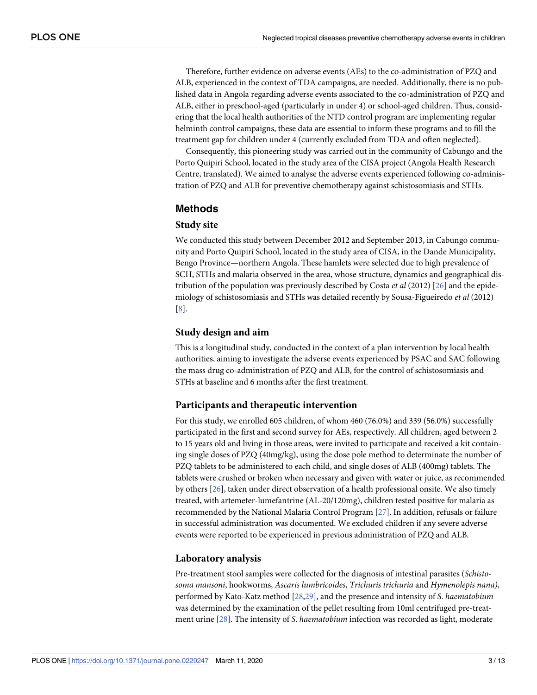<span id="page-2-0"></span>Therefore, further evidence on adverse events (AEs) to the co-administration of PZQ and ALB, experienced in the context of TDA campaigns, are needed. Additionally, there is no published data in Angola regarding adverse events associated to the co-administration of PZQ and ALB, either in preschool-aged (particularly in under 4) or school-aged children. Thus, considering that the local health authorities of the NTD control program are implementing regular helminth control campaigns, these data are essential to inform these programs and to fill the treatment gap for children under 4 (currently excluded from TDA and often neglected).

Consequently, this pioneering study was carried out in the community of Cabungo and the Porto Quipiri School, located in the study area of the CISA project (Angola Health Research Centre, translated). We aimed to analyse the adverse events experienced following co-administration of PZQ and ALB for preventive chemotherapy against schistosomiasis and STHs.

# **Methods**

#### **Study site**

We conducted this study between December 2012 and September 2013, in Cabungo community and Porto Quipiri School, located in the study area of CISA, in the Dande Municipality, Bengo Province—northern Angola. These hamlets were selected due to high prevalence of SCH, STHs and malaria observed in the area, whose structure, dynamics and geographical distribution of the population was previously described by Costa *et al* (2012) [[26](#page-11-0)] and the epidemiology of schistosomiasis and STHs was detailed recently by Sousa-Figueiredo *et al* (2012) [\[8](#page-10-0)].

# **Study design and aim**

This is a longitudinal study, conducted in the context of a plan intervention by local health authorities, aiming to investigate the adverse events experienced by PSAC and SAC following the mass drug co-administration of PZQ and ALB, for the control of schistosomiasis and STHs at baseline and 6 months after the first treatment.

#### **Participants and therapeutic intervention**

For this study, we enrolled 605 children, of whom 460 (76.0%) and 339 (56.0%) successfully participated in the first and second survey for AEs, respectively. All children, aged between 2 to 15 years old and living in those areas, were invited to participate and received a kit containing single doses of PZQ (40mg/kg), using the dose pole method to determinate the number of PZQ tablets to be administered to each child, and single doses of ALB (400mg) tablets. The tablets were crushed or broken when necessary and given with water or juice, as recommended by others [\[26\]](#page-11-0), taken under direct observation of a health professional onsite. We also timely treated, with artemeter-lumefantrine (AL-20/120mg), children tested positive for malaria as recommended by the National Malaria Control Program [\[27\]](#page-11-0). In addition, refusals or failure in successful administration was documented. We excluded children if any severe adverse events were reported to be experienced in previous administration of PZQ and ALB.

#### **Laboratory analysis**

Pre-treatment stool samples were collected for the diagnosis of intestinal parasites (*Schistosoma mansoni*, hookworms, *Ascaris lumbricoides*, *Trichuris trichuria* and *Hymenolepis nana)*, performed by Kato-Katz method [\[28,29](#page-11-0)], and the presence and intensity of *S*. *haematobium* was determined by the examination of the pellet resulting from 10ml centrifuged pre-treatment urine [\[28\]](#page-11-0). The intensity of *S*. *haematobium* infection was recorded as light, moderate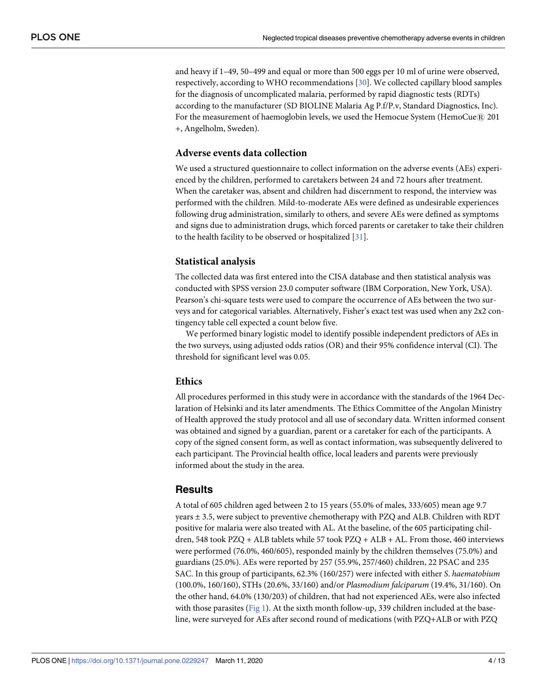<span id="page-3-0"></span>and heavy if 1–49, 50–499 and equal or more than 500 eggs per 10 ml of urine were observed, respectively, according to WHO recommendations [[30](#page-11-0)]. We collected capillary blood samples for the diagnosis of uncomplicated malaria, performed by rapid diagnostic tests (RDTs) according to the manufacturer (SD BIOLINE Malaria Ag P.f/P.v, Standard Diagnostics, Inc). For the measurement of haemoglobin levels, we used the Hemocue System (HemoCue $\Re$ ) 201 +, Angelholm, Sweden).

#### **Adverse events data collection**

We used a structured questionnaire to collect information on the adverse events (AEs) experienced by the children, performed to caretakers between 24 and 72 hours after treatment. When the caretaker was, absent and children had discernment to respond, the interview was performed with the children. Mild-to-moderate AEs were defined as undesirable experiences following drug administration, similarly to others, and severe AEs were defined as symptoms and signs due to administration drugs, which forced parents or caretaker to take their children to the health facility to be observed or hospitalized [[31](#page-11-0)].

#### **Statistical analysis**

The collected data was first entered into the CISA database and then statistical analysis was conducted with SPSS version 23.0 computer software (IBM Corporation, New York, USA). Pearson's chi-square tests were used to compare the occurrence of AEs between the two surveys and for categorical variables. Alternatively, Fisher's exact test was used when any 2x2 contingency table cell expected a count below five.

We performed binary logistic model to identify possible independent predictors of AEs in the two surveys, using adjusted odds ratios (OR) and their 95% confidence interval (CI). The threshold for significant level was 0.05.

#### **Ethics**

All procedures performed in this study were in accordance with the standards of the 1964 Declaration of Helsinki and its later amendments. The Ethics Committee of the Angolan Ministry of Health approved the study protocol and all use of secondary data. Written informed consent was obtained and signed by a guardian, parent or a caretaker for each of the participants. A copy of the signed consent form, as well as contact information, was subsequently delivered to each participant. The Provincial health office, local leaders and parents were previously informed about the study in the area.

# **Results**

A total of 605 children aged between 2 to 15 years (55.0% of males, 333/605) mean age 9.7 years ± 3.5, were subject to preventive chemotherapy with PZQ and ALB. Children with RDT positive for malaria were also treated with AL. At the baseline, of the 605 participating children, 548 took PZQ + ALB tablets while 57 took PZQ + ALB + AL. From those, 460 interviews were performed (76.0%, 460/605), responded mainly by the children themselves (75.0%) and guardians (25.0%). AEs were reported by 257 (55.9%, 257/460) children, 22 PSAC and 235 SAC. In this group of participants, 62.3% (160/257) were infected with either *S*. *haematobium* (100.0%, 160/160), STHs (20.6%, 33/160) and/or *Plasmodium falciparum* (19.4%, 31/160). On the other hand, 64.0% (130/203) of children, that had not experienced AEs, were also infected with those parasites ([Fig](#page-6-0) 1). At the sixth month follow-up, 339 children included at the baseline, were surveyed for AEs after second round of medications (with PZQ+ALB or with PZQ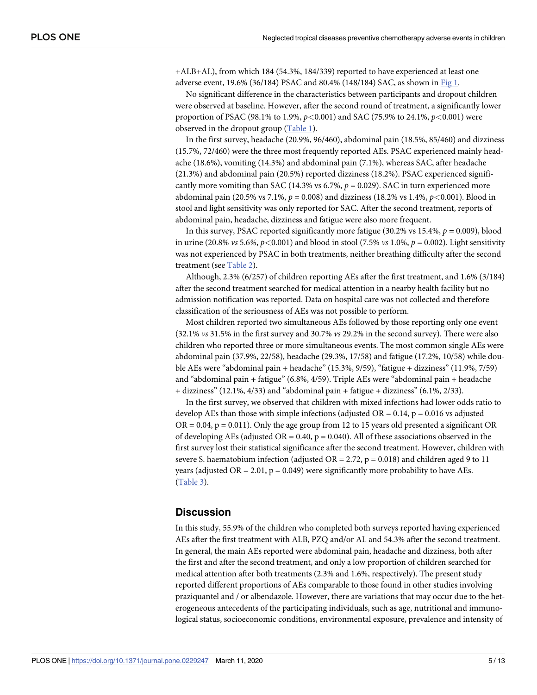<span id="page-4-0"></span>+ALB+AL), from which 184 (54.3%, 184/339) reported to have experienced at least one adverse event, 19.6% (36/184) PSAC and 80.4% (148/184) SAC, as shown in [Fig](#page-6-0) 1.

No significant difference in the characteristics between participants and dropout children were observed at baseline. However, after the second round of treatment, a significantly lower proportion of PSAC (98.1% to 1.9%, *p<*0.001) and SAC (75.9% to 24.1%, *p<*0.001) were observed in the dropout group [\(Table](#page-6-0) 1).

In the first survey, headache (20.9%, 96/460), abdominal pain (18.5%, 85/460) and dizziness (15.7%, 72/460) were the three most frequently reported AEs. PSAC experienced mainly headache (18.6%), vomiting (14.3%) and abdominal pain (7.1%), whereas SAC, after headache (21.3%) and abdominal pain (20.5%) reported dizziness (18.2%). PSAC experienced significantly more vomiting than SAC (14.3% vs  $6.7\%$ ,  $p = 0.029$ ). SAC in turn experienced more abdominal pain (20.5% vs 7.1%, *p* = 0.008) and dizziness (18.2% vs 1.4%, *p<*0.001). Blood in stool and light sensitivity was only reported for SAC. After the second treatment, reports of abdominal pain, headache, dizziness and fatigue were also more frequent.

In this survey, PSAC reported significantly more fatigue (30.2% vs 15.4%, *p =* 0.009), blood in urine (20.8%  $\nu s$  5.6%,  $p$ <0.001) and blood in stool (7.5%  $\nu s$  1.0%,  $p = 0.002$ ). Light sensitivity was not experienced by PSAC in both treatments, neither breathing difficulty after the second treatment (see [Table](#page-7-0) 2).

Although, 2.3% (6/257) of children reporting AEs after the first treatment, and 1.6% (3/184) after the second treatment searched for medical attention in a nearby health facility but no admission notification was reported. Data on hospital care was not collected and therefore classification of the seriousness of AEs was not possible to perform.

Most children reported two simultaneous AEs followed by those reporting only one event (32.1% *vs* 31.5% in the first survey and 30.7% *vs* 29.2% in the second survey). There were also children who reported three or more simultaneous events. The most common single AEs were abdominal pain (37.9%, 22/58), headache (29.3%, 17/58) and fatigue (17.2%, 10/58) while double AEs were "abdominal pain + headache" (15.3%, 9/59), "fatigue + dizziness" (11.9%, 7/59) and "abdominal pain + fatigue" (6.8%, 4/59). Triple AEs were "abdominal pain + headache + dizziness" (12.1%, 4/33) and "abdominal pain + fatigue + dizziness" (6.1%, 2/33).

In the first survey, we observed that children with mixed infections had lower odds ratio to develop AEs than those with simple infections (adjusted  $OR = 0.14$ ,  $p = 0.016$  vs adjusted  $OR = 0.04$ ,  $p = 0.011$ ). Only the age group from 12 to 15 years old presented a significant OR of developing AEs (adjusted OR =  $0.40$ , p =  $0.040$ ). All of these associations observed in the first survey lost their statistical significance after the second treatment. However, children with severe S. haematobium infection (adjusted OR =  $2.72$ , p = 0.018) and children aged 9 to 11 years (adjusted OR = 2.01,  $p = 0.049$ ) were significantly more probability to have AEs. [\(Table](#page-8-0) 3).

# **Discussion**

In this study, 55.9% of the children who completed both surveys reported having experienced AEs after the first treatment with ALB, PZQ and/or AL and 54.3% after the second treatment. In general, the main AEs reported were abdominal pain, headache and dizziness, both after the first and after the second treatment, and only a low proportion of children searched for medical attention after both treatments (2.3% and 1.6%, respectively). The present study reported different proportions of AEs comparable to those found in other studies involving praziquantel and / or albendazole. However, there are variations that may occur due to the heterogeneous antecedents of the participating individuals, such as age, nutritional and immunological status, socioeconomic conditions, environmental exposure, prevalence and intensity of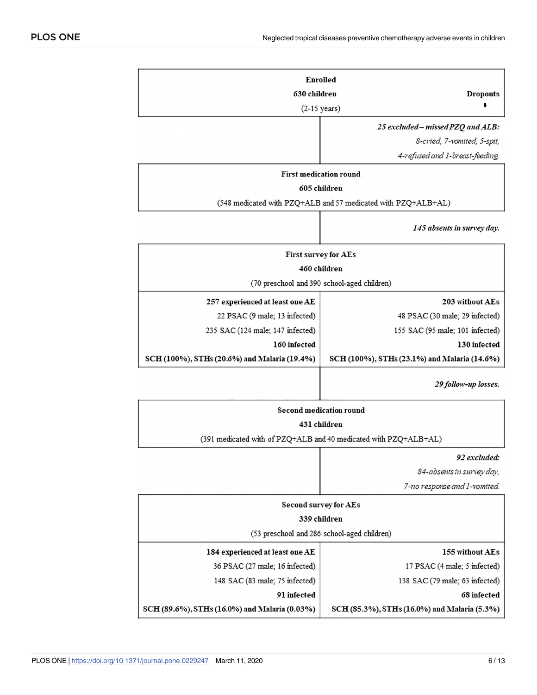|                                                               | Enrolled                                                         |
|---------------------------------------------------------------|------------------------------------------------------------------|
| <b>Dropouts</b>                                               | 630 children                                                     |
|                                                               | $(2-15 \text{ years})$                                           |
| 25 excluded - missed PZQ and ALB:                             |                                                                  |
| S-cried, 7-vomited, 5-spit,                                   |                                                                  |
| 4-refused and 1-breast-feeding.                               |                                                                  |
|                                                               | <b>First medication round</b>                                    |
| 605 children                                                  |                                                                  |
| (548 medicated with PZQ+ALB and 57 medicated with PZQ+ALB+AL) |                                                                  |
| 145 absents in survey day.                                    |                                                                  |
|                                                               | First survey for AEs                                             |
|                                                               | 460 children                                                     |
| (70 preschool and 390 school-aged children)                   |                                                                  |
| 203 without AEs                                               | 257 experienced at least one AE                                  |
| 48 PSAC (30 male; 29 infected)                                | 22 PSAC (9 male; 13 infected)                                    |
| 155 SAC (95 male; 101 infected)                               | 235 SAC (124 male; 147 infected)                                 |
| 130 infected                                                  | 160 infected                                                     |
| SCH (100%), STHs (23.1%) and Malaria (14.6%)                  | SCH (100%), STHs (20.6%) and Malaria (19.4%)                     |
| 29 follow-up losses.                                          |                                                                  |
|                                                               | <b>Second medication round</b>                                   |
|                                                               | 431 children                                                     |
|                                                               | (391 medicated with of PZQ+ALB and 40 medicated with PZQ+ALB+AL) |
| 92 excluded:                                                  |                                                                  |
| 84-absents in survey day,                                     |                                                                  |
| 7-no response and 1-vomited.                                  |                                                                  |
| Second survey for AEs                                         |                                                                  |
|                                                               | 339 children                                                     |
| (53 preschool and 286 school-aged children)                   |                                                                  |
| 155 without AEs                                               | 184 experienced at least one AE                                  |
| 17 PSAC (4 male; 5 infected)                                  | 36 PSAC (27 male; 16 infected)                                   |
| 138 SAC (79 male; 63 infected)                                | 148 SAC (83 male; 75 infected)                                   |

91 infected

SCH (89.6%), STHs (16.0%) and Malaria (0.03%)

68 infected

SCH (85.3%), STHs (16.0%) and Malaria (5.3%)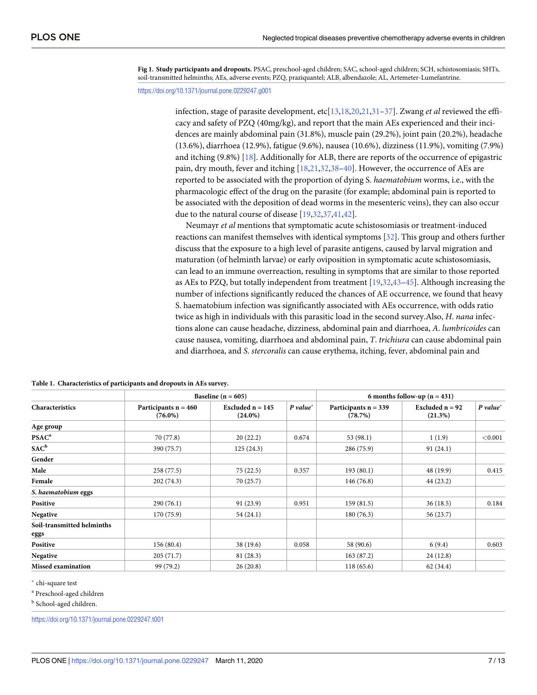<span id="page-6-0"></span>**[Fig](#page-3-0) 1. Study participants and dropouts.** PSAC, preschool-aged children; SAC, school-aged children; SCH, schistosomiasis; SHTs, soil-transmitted helminths; AEs, adverse events; PZQ, praziquantel; ALB, albendazole; AL, Artemeter-Lumefantrine.

<https://doi.org/10.1371/journal.pone.0229247.g001>

infection, stage of parasite development, etc[[13](#page-10-0),[18,20,21,](#page-10-0)[31](#page-11-0)–[37\]](#page-11-0). Zwang *et al* reviewed the efficacy and safety of PZQ (40mg/kg), and report that the main AEs experienced and their incidences are mainly abdominal pain (31.8%), muscle pain (29.2%), joint pain (20.2%), headache (13.6%), diarrhoea (12.9%), fatigue (9.6%), nausea (10.6%), dizziness (11.9%), vomiting (7.9%) and itching (9.8%) [\[18\]](#page-10-0). Additionally for ALB, there are reports of the occurrence of epigastric pain, dry mouth, fever and itching [[18](#page-10-0),[21](#page-10-0)[,32,38–40](#page-11-0)]. However, the occurrence of AEs are reported to be associated with the proportion of dying S. *haematobium* worms, i.e., with the pharmacologic effect of the drug on the parasite (for example; abdominal pain is reported to be associated with the deposition of dead worms in the mesenteric veins), they can also occur due to the natural course of disease [[19](#page-10-0),[32,37,41,42](#page-11-0)].

Neumayr *et al* mentions that symptomatic acute schistosomiasis or treatment-induced reactions can manifest themselves with identical symptoms [\[32\]](#page-11-0). This group and others further discuss that the exposure to a high level of parasite antigens, caused by larval migration and maturation (of helminth larvae) or early oviposition in symptomatic acute schistosomiasis, can lead to an immune overreaction, resulting in symptoms that are similar to those reported as AEs to PZQ, but totally independent from treatment [\[19](#page-10-0)[,32,43](#page-11-0)–[45](#page-12-0)]. Although increasing the number of infections significantly reduced the chances of AE occurrence, we found that heavy S. haematobium infection was significantly associated with AEs occurrence, with odds ratio twice as high in individuals with this parasitic load in the second survey.Also, *H*. *nana* infections alone can cause headache, dizziness, abdominal pain and diarrhoea, *A*. *lumbricoides* can cause nausea, vomiting, diarrhoea and abdominal pain, *T*. *trichiura* can cause abdominal pain and diarrhoea, and *S*. *stercoralis* can cause erythema, itching, fever, abdominal pain and

|                            |                                      | Baseline ( $n = 605$ )           | 6 months follow-up $(n = 431)$ |                                   |                              |             |
|----------------------------|--------------------------------------|----------------------------------|--------------------------------|-----------------------------------|------------------------------|-------------|
| Characteristics            | Participants $n = 460$<br>$(76.0\%)$ | Excluded $n = 145$<br>$(24.0\%)$ | $P value^*$                    | Participants $n = 339$<br>(78.7%) | Excluded $n = 92$<br>(21.3%) | $P value^*$ |
| Age group                  |                                      |                                  |                                |                                   |                              |             |
| PSAC <sup>a</sup>          | 70 (77.8)                            | 20(22.2)                         | 0.674                          | 53 (98.1)                         | 1(1.9)                       | < 0.001     |
| $SAC^b$                    | 390 (75.7)                           | 125(24.3)                        |                                | 286 (75.9)                        | 91(24.1)                     |             |
| Gender                     |                                      |                                  |                                |                                   |                              |             |
| Male                       | 258(77.5)                            | 75(22.5)                         | 0.357                          | 193(80.1)                         | 48 (19.9)                    | 0.415       |
| Female                     | 202(74.3)                            | 70(25.7)                         |                                | 146(76.8)                         | 44 (23.2)                    |             |
| S. haematobium eggs        |                                      |                                  |                                |                                   |                              |             |
| Positive                   | 290(76.1)                            | 91(23.9)                         | 0.951                          | 159(81.5)                         | 36(18.5)                     | 0.184       |
| Negative                   | 170(75.9)                            | 54(24.1)                         |                                | 180(76.3)                         | 56 (23.7)                    |             |
| Soil-transmitted helminths |                                      |                                  |                                |                                   |                              |             |
| eggs                       |                                      |                                  |                                |                                   |                              |             |
| Positive                   | 156(80.4)                            | 38(19.6)                         | 0.058                          | 58 (90.6)                         | 6(9.4)                       | 0.603       |
| Negative                   | 205(71.7)                            | 81(28.3)                         |                                | 163(87.2)                         | 24(12.8)                     |             |
| <b>Missed examination</b>  | 99 (79.2)                            | 26(20.8)                         |                                | 118(65.6)                         | 62 (34.4)                    |             |

**[Table](#page-4-0) 1. Characteristics of participants and dropouts in AEs survey.**

� chi-square test

<sup>a</sup> Preschool-aged children

**b** School-aged children.

<https://doi.org/10.1371/journal.pone.0229247.t001>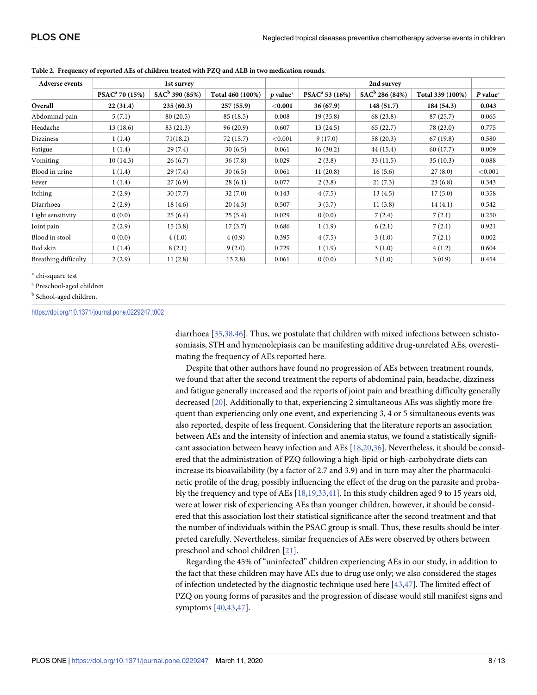| <b>Adverse events</b>       |                            | 2nd survey<br>1st survey   |                  |            |                            |                   |                  |            |
|-----------------------------|----------------------------|----------------------------|------------------|------------|----------------------------|-------------------|------------------|------------|
|                             | PSAC <sup>a</sup> 70 (15%) | SAC <sup>b</sup> 390 (85%) | Total 460 (100%) | $p$ value* | PSAC <sup>a</sup> 53 (16%) | $SAC^b$ 286 (84%) | Total 339 (100%) | $P$ value* |
| Overall                     | 22(31.4)                   | 235(60.3)                  | 257(55.9)        | $<$ 0.001  | 36(67.9)                   | 148(51.7)         | 184 (54.3)       | 0.043      |
| Abdominal pain              | 5(7.1)                     | 80(20.5)                   | 85(18.5)         | 0.008      | 19(35.8)                   | 68 (23.8)         | 87(25.7)         | 0.065      |
| Headache                    | 13(18.6)                   | 83 (21.3)                  | 96(20.9)         | 0.607      | 13(24.5)                   | 65(22.7)          | 78 (23.0)        | 0.775      |
| Dizziness                   | 1(1.4)                     | 71(18.2)                   | 72 (15.7)        | < 0.001    | 9(17.0)                    | 58 (20.3)         | 67(19.8)         | 0.580      |
| Fatigue                     | 1(1.4)                     | 29(7.4)                    | 30(6.5)          | 0.061      | 16(30.2)                   | 44(15.4)          | 60 (17.7)        | 0.009      |
| Vomiting                    | 10(14.3)                   | 26(6.7)                    | 36(7.8)          | 0.029      | 2(3.8)                     | 33(11.5)          | 35(10.3)         | 0.088      |
| Blood in urine              | 1(1.4)                     | 29(7.4)                    | 30(6.5)          | 0.061      | 11(20.8)                   | 16(5.6)           | 27(8.0)          | < 0.001    |
| Fever                       | 1(1.4)                     | 27(6.9)                    | 28(6.1)          | 0.077      | 2(3.8)                     | 21(7.3)           | 23(6.8)          | 0.343      |
| Itching                     | 2(2.9)                     | 30(7.7)                    | 32(7.0)          | 0.143      | 4(7.5)                     | 13(4.5)           | 17(5.0)          | 0.358      |
| Diarrhoea                   | 2(2.9)                     | 18(4.6)                    | 20(4.3)          | 0.507      | 3(5.7)                     | 11(3.8)           | 14(4.1)          | 0.542      |
| Light sensitivity           | 0(0.0)                     | 25(6.4)                    | 25(5.4)          | 0.029      | 0(0.0)                     | 7(2.4)            | 7(2.1)           | 0.250      |
| Joint pain                  | 2(2.9)                     | 15(3.8)                    | 17(3.7)          | 0.686      | 1(1.9)                     | 6(2.1)            | 7(2.1)           | 0.921      |
| Blood in stool              | 0(0.0)                     | 4(1.0)                     | 4(0.9)           | 0.395      | 4(7.5)                     | 3(1.0)            | 7(2.1)           | 0.002      |
| Red skin                    | 1(1.4)                     | 8(2.1)                     | 9(2.0)           | 0.729      | 1(1.9)                     | 3(1.0)            | 4(1.2)           | 0.604      |
| <b>Breathing difficulty</b> | 2(2.9)                     | 11(2.8)                    | 132.8)           | 0.061      | 0(0.0)                     | 3(1.0)            | 3(0.9)           | 0.454      |

<span id="page-7-0"></span>**[Table](#page-4-0) 2. Frequency of reported AEs of children treated with PZQ and ALB in two medication rounds.**

� chi-square test

<sup>a</sup> Preschool-aged children

**b** School-aged children.

#### <https://doi.org/10.1371/journal.pone.0229247.t002>

diarrhoea [\[35,38](#page-11-0),[46](#page-12-0)]. Thus, we postulate that children with mixed infections between schistosomiasis, STH and hymenolepiasis can be manifesting additive drug-unrelated AEs, overestimating the frequency of AEs reported here.

Despite that other authors have found no progression of AEs between treatment rounds, we found that after the second treatment the reports of abdominal pain, headache, dizziness and fatigue generally increased and the reports of joint pain and breathing difficulty generally decreased [[20](#page-10-0)]. Additionally to that, experiencing 2 simultaneous AEs was slightly more frequent than experiencing only one event, and experiencing 3, 4 or 5 simultaneous events was also reported, despite of less frequent. Considering that the literature reports an association between AEs and the intensity of infection and anemia status, we found a statistically significant association between heavy infection and AEs [\[18,20](#page-10-0),[36](#page-11-0)]. Nevertheless, it should be considered that the administration of PZQ following a high-lipid or high-carbohydrate diets can increase its bioavailability (by a factor of 2.7 and 3.9) and in turn may alter the pharmacokinetic profile of the drug, possibly influencing the effect of the drug on the parasite and probably the frequency and type of AEs [\[18,19](#page-10-0),[33](#page-11-0),[41\]](#page-11-0). In this study children aged 9 to 15 years old, were at lower risk of experiencing AEs than younger children, however, it should be considered that this association lost their statistical significance after the second treatment and that the number of individuals within the PSAC group is small. Thus, these results should be interpreted carefully. Nevertheless, similar frequencies of AEs were observed by others between preschool and school children [\[21\]](#page-10-0).

Regarding the 45% of "uninfected" children experiencing AEs in our study, in addition to the fact that these children may have AEs due to drug use only; we also considered the stages of infection undetected by the diagnostic technique used here [[43](#page-11-0)[,47\]](#page-12-0). The limited effect of PZQ on young forms of parasites and the progression of disease would still manifest signs and symptoms [\[40](#page-11-0),[43](#page-11-0),[47\]](#page-12-0).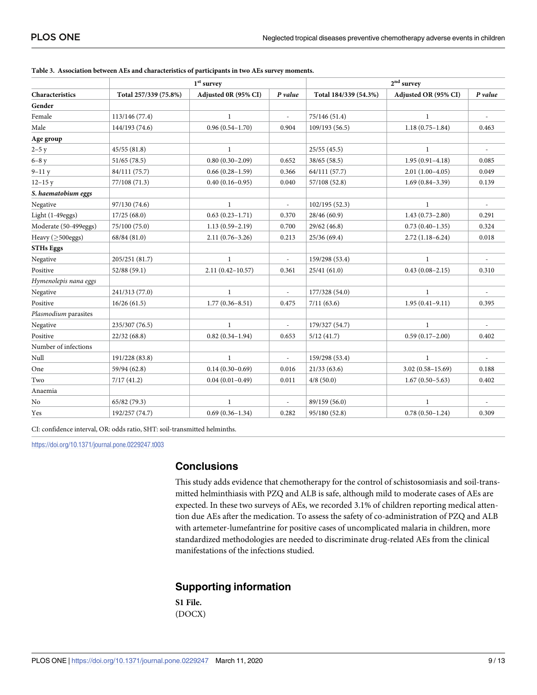|                        |                       | $1st$ survey                    | $2^{\rm nd}$ survey      |                       |                      |                             |
|------------------------|-----------------------|---------------------------------|--------------------------|-----------------------|----------------------|-----------------------------|
| Characteristics        | Total 257/339 (75.8%) | Adjusted 0R (95% CI)<br>P value |                          | Total 184/339 (54.3%) | Adjusted OR (95% CI) | $P$ value                   |
| Gender                 |                       |                                 |                          |                       |                      |                             |
| Female                 | 113/146 (77.4)        | $\mathbf{1}$                    | $\overline{\phantom{a}}$ | 75/146 (51.4)         | $\mathbf{1}$         | $\overline{\phantom{a}}$    |
| Male                   | 144/193 (74.6)        | $0.96(0.54 - 1.70)$             | 0.904                    | 109/193 (56.5)        | $1.18(0.75-1.84)$    | 0.463                       |
| Age group              |                       |                                 |                          |                       |                      |                             |
| $2 - 5y$               | 45/55(81.8)           | $\mathbf{1}$                    |                          | 25/55(45.5)           | $\mathbf{1}$         | $\mathcal{L}_{\mathcal{A}}$ |
| $6-8y$                 | 51/65 (78.5)          | $0.80(0.30-2.09)$               | 0.652                    | 38/65 (58.5)          | $1.95(0.91 - 4.18)$  | 0.085                       |
| $9-11y$                | 84/111 (75.7)         | $0.66(0.28 - 1.59)$             | 0.366                    | 64/111 (57.7)         | $2.01(1.00-4.05)$    | 0.049                       |
| $12 - 15y$             | 77/108 (71.3)         | $0.40(0.16 - 0.95)$             | 0.040                    | 57/108 (52.8)         | $1.69(0.84 - 3.39)$  | 0.139                       |
| S. haematobium eggs    |                       |                                 |                          |                       |                      |                             |
| Negative               | 97/130 (74.6)         | $\mathbf{1}$                    | $\frac{1}{2}$            | 102/195(52.3)         | $\mathbf{1}$         |                             |
| Light (1-49eggs)       | 17/25(68.0)           | $0.63(0.23 - 1.71)$             | 0.370                    | 28/46 (60.9)          | $1.43(0.73 - 2.80)$  | 0.291                       |
| Moderate (50-499eggs)  | 75/100 (75.0)         | $1.13(0.59 - 2.19)$             | 0.700                    | 29/62 (46.8)          | $0.73(0.40-1.35)$    | 0.324                       |
| Heavy $($ >500eggs $)$ | 68/84 (81.0)          | $2.11(0.76 - 3.26)$             | 0.213                    | 25/36(69.4)           | $2.72(1.18-6.24)$    | 0.018                       |
| <b>STHs Eggs</b>       |                       |                                 |                          |                       |                      |                             |
| Negative               | 205/251 (81.7)        | $\mathbf{1}$                    |                          | 159/298 (53.4)        | $\mathbf{1}$         |                             |
| Positive               | 52/88 (59.1)          | $2.11(0.42 - 10.57)$            | 0.361                    | 25/41(61.0)           | $0.43(0.08-2.15)$    | 0.310                       |
| Hymenolepis nana eggs  |                       |                                 |                          |                       |                      |                             |
| Negative               | 241/313 (77.0)        | $\mathbf{1}$                    | ÷,                       | 177/328 (54.0)        | $\mathbf{1}$         | $\overline{\phantom{a}}$    |
| Positive               | 16/26(61.5)           | $1.77(0.36 - 8.51)$             | 0.475                    | 7/11(63.6)            | $1.95(0.41 - 9.11)$  | 0.395                       |
| Plasmodium parasites   |                       |                                 |                          |                       |                      |                             |
| Negative               | 235/307 (76.5)        | $\mathbf{1}$                    |                          | 179/327 (54.7)        | $\mathbf{1}$         |                             |
| Positive               | 22/32(68.8)           | $0.82(0.34 - 1.94)$             | 0.653                    | 5/12(41.7)            | $0.59(0.17-2.00)$    | 0.402                       |
| Number of infections   |                       |                                 |                          |                       |                      |                             |
| Null                   | 191/228 (83.8)        | $\mathbf{1}$                    | ÷,                       | 159/298 (53.4)        | $\mathbf{1}$         | $\overline{\phantom{a}}$    |
| One                    | 59/94 (62.8)          | $0.14(0.30-0.69)$               | 0.016                    | 21/33(63.6)           | $3.02(0.58 - 15.69)$ | 0.188                       |
| Two                    | 7/17(41.2)            | $0.04(0.01 - 0.49)$             | 0.011                    | 4/8(50.0)             | $1.67(0.50 - 5.63)$  | 0.402                       |
| Anaemia                |                       |                                 |                          |                       |                      |                             |
| No                     | 65/82 (79.3)          | $\mathbf{1}$                    |                          | 89/159 (56.0)         | $\mathbf{1}$         |                             |
| Yes                    | 192/257 (74.7)        | $0.69(0.36 - 1.34)$             | 0.282                    | 95/180 (52.8)         | $0.78(0.50-1.24)$    | 0.309                       |

<span id="page-8-0"></span>

|  |  | Table 3. Association between AEs and characteristics of participants in two AEs survey moments. |  |  |  |  |  |  |
|--|--|-------------------------------------------------------------------------------------------------|--|--|--|--|--|--|
|--|--|-------------------------------------------------------------------------------------------------|--|--|--|--|--|--|

CI: confidence interval, OR: odds ratio, SHT: soil-transmitted helminths.

<https://doi.org/10.1371/journal.pone.0229247.t003>

## **Conclusions**

This study adds evidence that chemotherapy for the control of schistosomiasis and soil-transmitted helminthiasis with PZQ and ALB is safe, although mild to moderate cases of AEs are expected. In these two surveys of AEs, we recorded 3.1% of children reporting medical attention due AEs after the medication. To assess the safety of co-administration of PZQ and ALB with artemeter-lumefantrine for positive cases of uncomplicated malaria in children, more standardized methodologies are needed to discriminate drug-related AEs from the clinical manifestations of the infections studied.

# **Supporting information**

**S1 [File.](http://www.plosone.org/article/fetchSingleRepresentation.action?uri=info:doi/10.1371/journal.pone.0229247.s001)** (DOCX)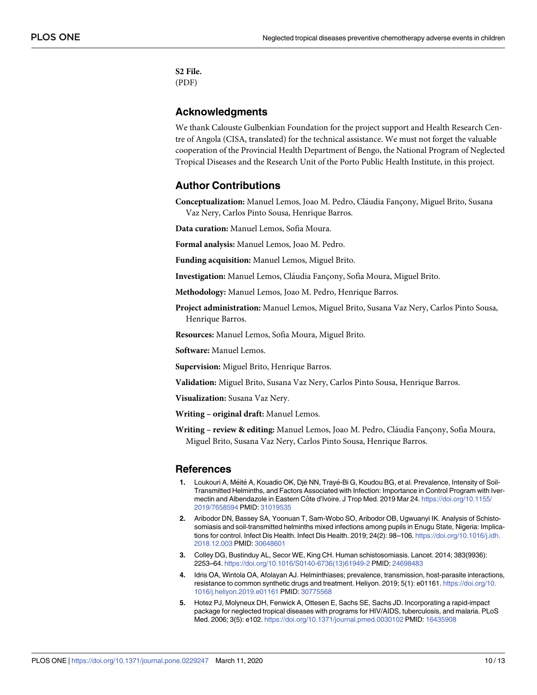<span id="page-9-0"></span>**S2 [File.](http://www.plosone.org/article/fetchSingleRepresentation.action?uri=info:doi/10.1371/journal.pone.0229247.s002)** (PDF)

# **Acknowledgments**

We thank Calouste Gulbenkian Foundation for the project support and Health Research Centre of Angola (CISA, translated) for the technical assistance. We must not forget the valuable cooperation of the Provincial Health Department of Bengo, the National Program of Neglected Tropical Diseases and the Research Unit of the Porto Public Health Institute, in this project.

# **Author Contributions**

**Conceptualization:** Manuel Lemos, Joao M. Pedro, Cláudia Fançony, Miguel Brito, Susana Vaz Nery, Carlos Pinto Sousa, Henrique Barros.

**Data curation:** Manuel Lemos, Sofia Moura.

**Formal analysis:** Manuel Lemos, Joao M. Pedro.

**Funding acquisition:** Manuel Lemos, Miguel Brito.

**Investigation:** Manuel Lemos, Cláudia Fançony, Sofia Moura, Miguel Brito.

**Methodology:** Manuel Lemos, Joao M. Pedro, Henrique Barros.

**Project administration:** Manuel Lemos, Miguel Brito, Susana Vaz Nery, Carlos Pinto Sousa, Henrique Barros.

**Resources:** Manuel Lemos, Sofia Moura, Miguel Brito.

**Software:** Manuel Lemos.

**Supervision:** Miguel Brito, Henrique Barros.

**Validation:** Miguel Brito, Susana Vaz Nery, Carlos Pinto Sousa, Henrique Barros.

**Visualization:** Susana Vaz Nery.

**Writing – original draft:** Manuel Lemos.

**Writing - review & editing:** Manuel Lemos, Joao M. Pedro, Cláudia Fançony, Sofia Moura, Miguel Brito, Susana Vaz Nery, Carlos Pinto Sousa, Henrique Barros.

#### **References**

- **[1](#page-1-0).** Loukouri A, Méité A, Kouadio OK, Djè NN, Trayé-Bi G, Koudou BG, et al. Prevalence, Intensity of Soil-Transmitted Helminths, and Factors Associated with Infection: Importance in Control Program with Ivermectin and Albendazole in Eastern Côte d'Ivoire. J Trop Med. 2019 Mar 24. [https://doi.org/10.1155/](https://doi.org/10.1155/2019/7658594) [2019/7658594](https://doi.org/10.1155/2019/7658594) PMID: [31019535](http://www.ncbi.nlm.nih.gov/pubmed/31019535)
- **2.** Aribodor DN, Bassey SA, Yoonuan T, Sam-Wobo SO, Aribodor OB, Ugwuanyi IK. Analysis of Schistosomiasis and soil-transmitted helminths mixed infections among pupils in Enugu State, Nigeria: Implications for control. Infect Dis Health. Infect Dis Health. 2019; 24(2): 98–106. [https://doi.org/10.1016/j.idh.](https://doi.org/10.1016/j.idh.2018.12.003) [2018.12.003](https://doi.org/10.1016/j.idh.2018.12.003) PMID: [30648601](http://www.ncbi.nlm.nih.gov/pubmed/30648601)
- **[3](#page-1-0).** Colley DG, Bustinduy AL, Secor WE, King CH. Human schistosomiasis. Lancet. 2014; 383(9936): 2253–64. [https://doi.org/10.1016/S0140-6736\(13\)61949-2](https://doi.org/10.1016/S0140-6736(13)61949-2) PMID: [24698483](http://www.ncbi.nlm.nih.gov/pubmed/24698483)
- **[4](#page-1-0).** Idris OA, Wintola OA, Afolayan AJ. Helminthiases; prevalence, transmission, host-parasite interactions, resistance to common synthetic drugs and treatment. Heliyon. 2019; 5(1): e01161. [https://doi.org/10.](https://doi.org/10.1016/j.heliyon.2019.e01161) [1016/j.heliyon.2019.e01161](https://doi.org/10.1016/j.heliyon.2019.e01161) PMID: [30775568](http://www.ncbi.nlm.nih.gov/pubmed/30775568)
- **[5](#page-1-0).** Hotez PJ, Molyneux DH, Fenwick A, Ottesen E, Sachs SE, Sachs JD. Incorporating a rapid-impact package for neglected tropical diseases with programs for HIV/AIDS, tuberculosis, and malaria. PLoS Med. 2006; 3(5): e102. <https://doi.org/10.1371/journal.pmed.0030102> PMID: [16435908](http://www.ncbi.nlm.nih.gov/pubmed/16435908)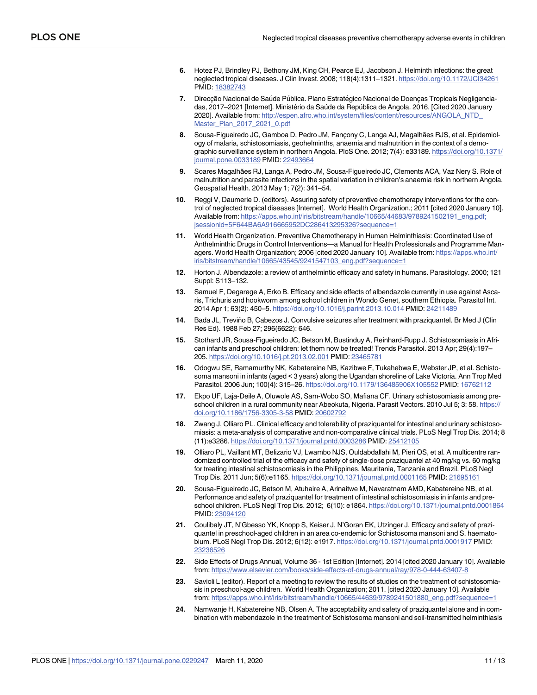- <span id="page-10-0"></span>**[6](#page-1-0).** Hotez PJ, Brindley PJ, Bethony JM, King CH, Pearce EJ, Jacobson J. Helminth infections: the great neglected tropical diseases. J Clin Invest. 2008; 118(4):1311–1321. <https://doi.org/10.1172/JCI34261> PMID: [18382743](http://www.ncbi.nlm.nih.gov/pubmed/18382743)
- **[7](#page-1-0).** Direcção Nacional de Saúde Pública. Plano Estratégico Nacional de Doenças Tropicais Negligenciadas, 2017–2021 [Internet]. Ministério da Saúde da República de Angola. 2016. [Cited 2020 January 2020]. Available from: [http://espen.afro.who.int/system/files/content/resources/ANGOLA\\_NTD\\_](http://espen.afro.who.int/system/files/content/resources/ANGOLA_NTD_Master_Plan_2017_2021_0.pdf) [Master\\_Plan\\_2017\\_2021\\_0.pdf](http://espen.afro.who.int/system/files/content/resources/ANGOLA_NTD_Master_Plan_2017_2021_0.pdf)
- [8](#page-1-0). Sousa-Figueiredo JC, Gamboa D, Pedro JM, Fançony C, Langa AJ, Magalhães RJS, et al. Epidemiology of malaria, schistosomiasis, geohelminths, anaemia and malnutrition in the context of a demographic surveillance system in northern Angola. PloS One. 2012; 7(4): e33189. [https://doi.org/10.1371/](https://doi.org/10.1371/journal.pone.0033189) [journal.pone.0033189](https://doi.org/10.1371/journal.pone.0033189) PMID: [22493664](http://www.ncbi.nlm.nih.gov/pubmed/22493664)
- **[9](#page-1-0).** Soares Magalhães RJ, Langa A, Pedro JM, Sousa-Figueiredo JC, Clements ACA, Vaz Nery S. Role of malnutrition and parasite infections in the spatial variation in children's anaemia risk in northern Angola. Geospatial Health. 2013 May 1; 7(2): 341–54.
- **[10](#page-1-0).** Reggi V, Daumerie D. (editors). Assuring safety of preventive chemotherapy interventions for the control of neglected tropical diseases [Internet]. World Health Organization.; 2011 [cited 2020 January 10]. Available from: [https://apps.who.int/iris/bitstream/handle/10665/44683/9789241502191\\_eng.pdf;](https://apps.who.int/iris/bitstream/handle/10665/44683/9789241502191_eng.pdf;jsessionid=5F644BA6A916665952DC286413295326?sequence=1) [jsessionid=5F644BA6A916665952DC286413295326?sequence=1](https://apps.who.int/iris/bitstream/handle/10665/44683/9789241502191_eng.pdf;jsessionid=5F644BA6A916665952DC286413295326?sequence=1)
- **[11](#page-1-0).** World Health Organization. Preventive Chemotherapy in Human Helminthiasis: Coordinated Use of Anthelminthic Drugs in Control Interventions—a Manual for Health Professionals and Programme Managers. World Health Organization; 2006 [cited 2020 January 10]. Available from: [https://apps.who.int/](https://apps.who.int/iris/bitstream/handle/10665/43545/9241547103_eng.pdf?sequence=1) [iris/bitstream/handle/10665/43545/9241547103\\_eng.pdf?sequence=1](https://apps.who.int/iris/bitstream/handle/10665/43545/9241547103_eng.pdf?sequence=1)
- **[12](#page-1-0).** Horton J. Albendazole: a review of anthelmintic efficacy and safety in humans. Parasitology. 2000; 121 Suppl: S113–132.
- **[13](#page-1-0).** Samuel F, Degarege A, Erko B. Efficacy and side effects of albendazole currently in use against Ascaris, Trichuris and hookworm among school children in Wondo Genet, southern Ethiopia. Parasitol Int. 2014 Apr 1; 63(2): 450–5. <https://doi.org/10.1016/j.parint.2013.10.014> PMID: [24211489](http://www.ncbi.nlm.nih.gov/pubmed/24211489)
- **14.** Bada JL, Treviño B, Cabezos J. Convulsive seizures after treatment with praziquantel. Br Med J (Clin Res Ed). 1988 Feb 27; 296(6622): 646.
- **[15](#page-1-0).** Stothard JR, Sousa-Figueiredo JC, Betson M, Bustinduy A, Reinhard-Rupp J. Schistosomiasis in African infants and preschool children: let them now be treated! Trends Parasitol. 2013 Apr; 29(4):197– 205. <https://doi.org/10.1016/j.pt.2013.02.001> PMID: [23465781](http://www.ncbi.nlm.nih.gov/pubmed/23465781)
- **16.** Odogwu SE, Ramamurthy NK, Kabatereine NB, Kazibwe F, Tukahebwa E, Webster JP, et al. Schistosoma mansoni in infants (aged < 3 years) along the Ugandan shoreline of Lake Victoria. Ann Trop Med Parasitol. 2006 Jun; 100(4): 315–26. <https://doi.org/10.1179/136485906X105552> PMID: [16762112](http://www.ncbi.nlm.nih.gov/pubmed/16762112)
- **17.** Ekpo UF, Laja-Deile A, Oluwole AS, Sam-Wobo SO, Mafiana CF. Urinary schistosomiasis among preschool children in a rural community near Abeokuta, Nigeria. Parasit Vectors. 2010 Jul 5; 3: 58. [https://](https://doi.org/10.1186/1756-3305-3-58) [doi.org/10.1186/1756-3305-3-58](https://doi.org/10.1186/1756-3305-3-58) PMID: [20602792](http://www.ncbi.nlm.nih.gov/pubmed/20602792)
- **[18](#page-1-0).** Zwang J, Olliaro PL. Clinical efficacy and tolerability of praziquantel for intestinal and urinary schistosomiasis: a meta-analysis of comparative and non-comparative clinical trials. PLoS Negl Trop Dis. 2014; 8 (11):e3286. <https://doi.org/10.1371/journal.pntd.0003286> PMID: [25412105](http://www.ncbi.nlm.nih.gov/pubmed/25412105)
- **[19](#page-6-0).** Olliaro PL, Vaillant MT, Belizario VJ, Lwambo NJS, Ouldabdallahi M, Pieri OS, et al. A multicentre randomized controlled trial of the efficacy and safety of single-dose praziquantel at 40 mg/kg vs. 60 mg/kg for treating intestinal schistosomiasis in the Philippines, Mauritania, Tanzania and Brazil. PLoS Negl Trop Dis. 2011 Jun; 5(6):e1165. <https://doi.org/10.1371/journal.pntd.0001165> PMID: [21695161](http://www.ncbi.nlm.nih.gov/pubmed/21695161)
- **[20](#page-6-0).** Sousa-Figueiredo JC, Betson M, Atuhaire A, Arinaitwe M, Navaratnam AMD, Kabatereine NB, et al. Performance and safety of praziquantel for treatment of intestinal schistosomiasis in infants and preschool children. PLoS Negl Trop Dis. 2012; 6(10): e1864. <https://doi.org/10.1371/journal.pntd.0001864> PMID: [23094120](http://www.ncbi.nlm.nih.gov/pubmed/23094120)
- **[21](#page-1-0).** Coulibaly JT, N'Gbesso YK, Knopp S, Keiser J, N'Goran EK, Utzinger J. Efficacy and safety of praziquantel in preschool-aged children in an area co-endemic for Schistosoma mansoni and S. haematobium. PLoS Negl Trop Dis. 2012; 6(12): e1917. <https://doi.org/10.1371/journal.pntd.0001917> PMID: [23236526](http://www.ncbi.nlm.nih.gov/pubmed/23236526)
- **[22](#page-1-0).** Side Effects of Drugs Annual, Volume 36 1st Edition [Internet]. 2014 [cited 2020 January 10]. Available from: <https://www.elsevier.com/books/side-effects-of-drugs-annual/ray/978-0-444-63407-8>
- **[23](#page-1-0).** Savioli L (editor). Report of a meeting to review the results of studies on the treatment of schistosomiasis in preschool-age children. World Health Organization; 2011. [cited 2020 January 10]. Available from: [https://apps.who.int/iris/bitstream/handle/10665/44639/9789241501880\\_eng.pdf?sequence=1](https://apps.who.int/iris/bitstream/handle/10665/44639/9789241501880_eng.pdf?sequence=1)
- **24.** Namwanje H, Kabatereine NB, Olsen A. The acceptability and safety of praziquantel alone and in combination with mebendazole in the treatment of Schistosoma mansoni and soil-transmitted helminthiasis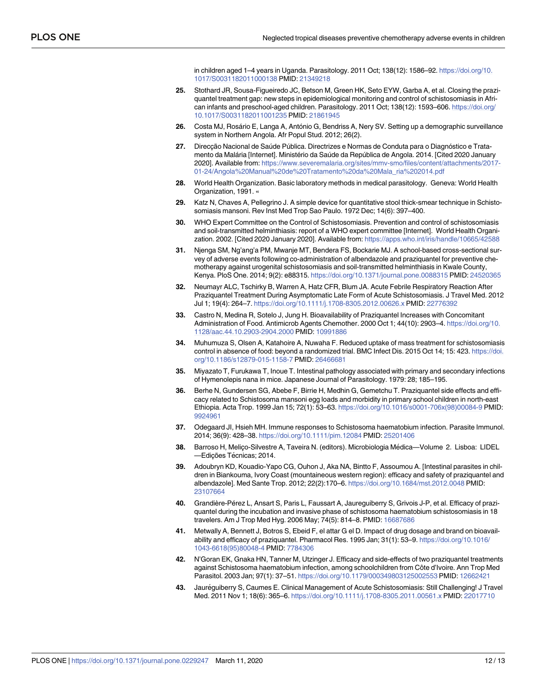in children aged 1–4 years in Uganda. Parasitology. 2011 Oct; 138(12): 1586–92. [https://doi.org/10.](https://doi.org/10.1017/S0031182011000138) [1017/S0031182011000138](https://doi.org/10.1017/S0031182011000138) PMID: [21349218](http://www.ncbi.nlm.nih.gov/pubmed/21349218)

- <span id="page-11-0"></span>**[25](#page-1-0).** Stothard JR, Sousa-Figueiredo JC, Betson M, Green HK, Seto EYW, Garba A, et al. Closing the praziquantel treatment gap: new steps in epidemiological monitoring and control of schistosomiasis in African infants and preschool-aged children. Parasitology. 2011 Oct; 138(12): 1593–606. [https://doi.org/](https://doi.org/10.1017/S0031182011001235) [10.1017/S0031182011001235](https://doi.org/10.1017/S0031182011001235) PMID: [21861945](http://www.ncbi.nlm.nih.gov/pubmed/21861945)
- **[26](#page-2-0).** Costa MJ, Rosário E, Langa A, António G, Bendriss A, Nery SV. Setting up a demographic surveillance system in Northern Angola. Afr Popul Stud. 2012; 26(2).
- [27](#page-2-0). Direccão Nacional de Saúde Pública. Directrizes e Normas de Conduta para o Diagnóstico e Tratamento da Malária [Internet]. Ministério da Saúde da República de Angola. 2014. [Cited 2020 January 2020]. Available from: [https://www.severemalaria.org/sites/mmv-smo/files/content/attachments/2017-](https://www.severemalaria.org/sites/mmv-smo/files/content/attachments/2017-01-24/Angola%20Manual%20de%20Tratamento%20da%20Mala_ria%202014.pdf) [01-24/Angola%20Manual%20de%20Tratamento%20da%20Mala\\_ria%202014.pdf](https://www.severemalaria.org/sites/mmv-smo/files/content/attachments/2017-01-24/Angola%20Manual%20de%20Tratamento%20da%20Mala_ria%202014.pdf)
- **[28](#page-2-0).** World Health Organization. Basic laboratory methods in medical parasitology. Geneva: World Health Organization, 1991. «
- **[29](#page-2-0).** Katz N, Chaves A, Pellegrino J. A simple device for quantitative stool thick-smear technique in Schistosomiasis mansoni. Rev Inst Med Trop Sao Paulo. 1972 Dec; 14(6): 397–400.
- **[30](#page-3-0).** WHO Expert Committee on the Control of Schistosomiasis. Prevention and control of schistosomiasis and soil-transmitted helminthiasis: report of a WHO expert committee [Internet]. World Health Organization. 2002. [Cited 2020 January 2020]. Available from: <https://apps.who.int/iris/handle/10665/42588>
- **[31](#page-3-0).** Njenga SM, Ng'ang'a PM, Mwanje MT, Bendera FS, Bockarie MJ. A school-based cross-sectional survey of adverse events following co-administration of albendazole and praziquantel for preventive chemotherapy against urogenital schistosomiasis and soil-transmitted helminthiasis in Kwale County, Kenya. PloS One. 2014; 9(2): e88315. <https://doi.org/10.1371/journal.pone.0088315> PMID: [24520365](http://www.ncbi.nlm.nih.gov/pubmed/24520365)
- **[32](#page-6-0).** Neumayr ALC, Tschirky B, Warren A, Hatz CFR, Blum JA. Acute Febrile Respiratory Reaction After Praziquantel Treatment During Asymptomatic Late Form of Acute Schistosomiasis. J Travel Med. 2012 Jul 1; 19(4): 264–7. <https://doi.org/10.1111/j.1708-8305.2012.00626.x> PMID: [22776392](http://www.ncbi.nlm.nih.gov/pubmed/22776392)
- **[33](#page-7-0).** Castro N, Medina R, Sotelo J, Jung H. Bioavailability of Praziquantel Increases with Concomitant Administration of Food. Antimicrob Agents Chemother. 2000 Oct 1; 44(10): 2903–4. [https://doi.org/10.](https://doi.org/10.1128/aac.44.10.2903-2904.2000) [1128/aac.44.10.2903-2904.2000](https://doi.org/10.1128/aac.44.10.2903-2904.2000) PMID: [10991886](http://www.ncbi.nlm.nih.gov/pubmed/10991886)
- **34.** Muhumuza S, Olsen A, Katahoire A, Nuwaha F. Reduced uptake of mass treatment for schistosomiasis control in absence of food: beyond a randomized trial. BMC Infect Dis. 2015 Oct 14; 15: 423. [https://doi.](https://doi.org/10.1186/s12879-015-1158-7) [org/10.1186/s12879-015-1158-7](https://doi.org/10.1186/s12879-015-1158-7) PMID: [26466681](http://www.ncbi.nlm.nih.gov/pubmed/26466681)
- **[35](#page-7-0).** Miyazato T, Furukawa T, Inoue T. Intestinal pathology associated with primary and secondary infections of Hymenolepis nana in mice. Japanese Journal of Parasitology. 1979: 28; 185–195.
- **[36](#page-7-0).** Berhe N, Gundersen SG, Abebe F, Birrie H, Medhin G, Gemetchu T. Praziquantel side effects and efficacy related to Schistosoma mansoni egg loads and morbidity in primary school children in north-east Ethiopia. Acta Trop. 1999 Jan 15; 72(1): 53–63. [https://doi.org/10.1016/s0001-706x\(98\)00084-9](https://doi.org/10.1016/s0001-706x(98)00084-9) PMID: [9924961](http://www.ncbi.nlm.nih.gov/pubmed/9924961)
- **[37](#page-6-0).** Odegaard JI, Hsieh MH. Immune responses to Schistosoma haematobium infection. Parasite Immunol. 2014; 36(9): 428–38. <https://doi.org/10.1111/pim.12084> PMID: [25201406](http://www.ncbi.nlm.nih.gov/pubmed/25201406)
- **[38](#page-6-0).** Barroso H, Melico-Silvestre A, Taveira N. (editors). Microbiologia Médica—Volume 2. Lisboa: LIDEL —Edições Técnicas; 2014.
- **39.** Adoubryn KD, Kouadio-Yapo CG, Ouhon J, Aka NA, Bintto F, Assoumou A. [Intestinal parasites in children in Biankouma, Ivory Coast (mountaineous western region): efficacy and safety of praziquantel and albendazole]. Med Sante Trop. 2012; 22(2):170–6. <https://doi.org/10.1684/mst.2012.0048> PMID: [23107664](http://www.ncbi.nlm.nih.gov/pubmed/23107664)
- **[40](#page-6-0).** Grandière-Pe´rez L, Ansart S, Paris L, Faussart A, Jaureguiberry S, Grivois J-P, et al. Efficacy of praziquantel during the incubation and invasive phase of schistosoma haematobium schistosomiasis in 18 travelers. Am J Trop Med Hyg. 2006 May; 74(5): 814–8. PMID: [16687686](http://www.ncbi.nlm.nih.gov/pubmed/16687686)
- **[41](#page-6-0).** Metwally A, Bennett J, Botros S, Ebeid F, el attar G el D. Impact of drug dosage and brand on bioavailability and efficacy of praziquantel. Pharmacol Res. 1995 Jan; 31(1): 53–9. [https://doi.org/10.1016/](https://doi.org/10.1016/1043-6618(95)80048-4) [1043-6618\(95\)80048-4](https://doi.org/10.1016/1043-6618(95)80048-4) PMID: [7784306](http://www.ncbi.nlm.nih.gov/pubmed/7784306)
- **[42](#page-6-0).** N'Goran EK, Gnaka HN, Tanner M, Utzinger J. Efficacy and side-effects of two praziquantel treatments against Schistosoma haematobium infection, among schoolchildren from Côte d'Ivoire. Ann Trop Med Parasitol. 2003 Jan; 97(1): 37–51. <https://doi.org/10.1179/000349803125002553> PMID: [12662421](http://www.ncbi.nlm.nih.gov/pubmed/12662421)
- **[43](#page-6-0).** Jaure´guiberry S, Caumes E. Clinical Management of Acute Schistosomiasis: Still Challenging! J Travel Med. 2011 Nov 1; 18(6): 365–6. <https://doi.org/10.1111/j.1708-8305.2011.00561.x> PMID: [22017710](http://www.ncbi.nlm.nih.gov/pubmed/22017710)